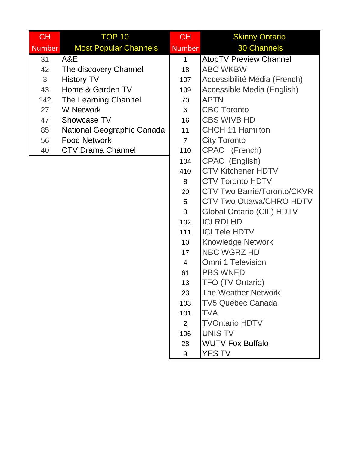| <b>CH</b>      | <b>TOP 10</b>                | <b>CH</b>      | <b>Skinny Ontario</b>              |
|----------------|------------------------------|----------------|------------------------------------|
| <b>Number</b>  | <b>Most Popular Channels</b> | <b>Number</b>  | <b>30 Channels</b>                 |
| 31             | A&E                          | $\mathbf{1}$   | <b>AtopTV Preview Channel</b>      |
| 42             | The discovery Channel        | 18             | <b>ABC WKBW</b>                    |
| $\mathfrak{S}$ | <b>History TV</b>            | 107            | Accessibilité Média (French)       |
| 43             | Home & Garden TV             | 109            | Accessible Media (English)         |
| 142            | The Learning Channel         | 70             | <b>APTN</b>                        |
| 27             | <b>W</b> Network             | 6              | <b>CBC Toronto</b>                 |
| 47             | Showcase TV                  | 16             | <b>CBS WIVB HD</b>                 |
| 85             | National Geographic Canada   | 11             | <b>CHCH 11 Hamilton</b>            |
| 56             | <b>Food Network</b>          | $\overline{7}$ | <b>City Toronto</b>                |
| 40             | <b>CTV Drama Channel</b>     | 110            | CPAC (French)                      |
|                |                              | 104            | CPAC (English)                     |
|                |                              | 410            | <b>CTV Kitchener HDTV</b>          |
|                |                              | 8              | <b>CTV Toronto HDTV</b>            |
|                |                              | 20             | <b>CTV Two Barrie/Toronto/CKVR</b> |
|                |                              | 5              | <b>CTV Two Ottawa/CHRO HDTV</b>    |
|                |                              | 3              | <b>Global Ontario (CIII) HDTV</b>  |
|                |                              | 102            | <b>ICI RDI HD</b>                  |
|                |                              | 111            | <b>ICI Tele HDTV</b>               |
|                |                              | 10             | <b>Knowledge Network</b>           |
|                |                              | 17             | <b>NBC WGRZ HD</b>                 |
|                |                              | $\overline{4}$ | <b>Omni 1 Television</b>           |
|                |                              | 61             | <b>PBS WNED</b>                    |
|                |                              | 13             | <b>TFO (TV Ontario)</b>            |
|                |                              | 23             | <b>The Weather Network</b>         |
|                |                              | 103            | TV5 Québec Canada                  |
|                |                              | 101            | <b>TVA</b>                         |
|                |                              | $\overline{2}$ | <b>TVOntario HDTV</b>              |
|                |                              | 106            | <b>UNIS TV</b>                     |
|                |                              | 28             | <b>WUTV Fox Buffalo</b>            |
|                |                              | 9              | <b>YES TV</b>                      |